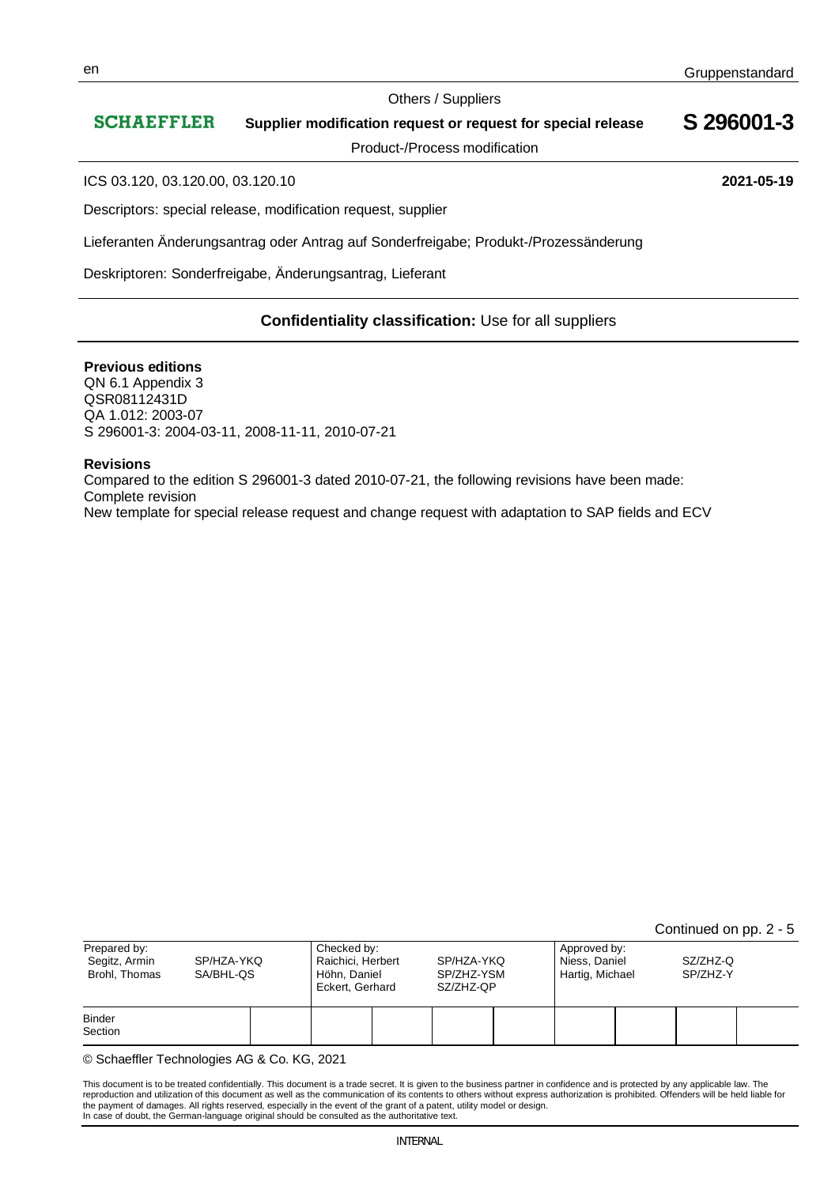#### Others / Suppliers

#### **SCHAEFFLER S 296001-3 Supplier modification request or request for special release**

Product-/Process modification

ICS 03.120, 03.120.00, 03.120.10 **2021-05-19**

Descriptors: special release, modification request, supplier

Lieferanten Änderungsantrag oder Antrag auf Sonderfreigabe; Produkt-/Prozessänderung

Deskriptoren: Sonderfreigabe, Änderungsantrag, Lieferant

# **Confidentiality classification:** Use for all suppliers

#### **Previous editions**

QN 6.1 Appendix 3 QSR08112431D QA 1.012: 2003-07 S 296001-3: 2004-03-11, 2008-11-11, 2010-07-21

#### **Revisions**

Compared to the edition S 296001-3 dated 2010-07-21, the following revisions have been made: Complete revision New template for special release request and change request with adaptation to SAP fields and ECV

Continued on pp. 2 - 5

| Prepared by:<br>Segitz, Armin<br>Brohl, Thomas | SP/HZA-YKQ<br>SA/BHL-QS |  | Checked by:<br>Raichici, Herbert<br>Höhn, Daniel<br>Eckert, Gerhard |  | SP/HZA-YKQ<br>SP/ZHZ-YSM<br>SZ/ZHZ-QP |  | Approved by:<br>Niess, Daniel<br>Hartig, Michael |  | SZ/ZHZ-Q<br>SP/ZHZ-Y |  |
|------------------------------------------------|-------------------------|--|---------------------------------------------------------------------|--|---------------------------------------|--|--------------------------------------------------|--|----------------------|--|
| <b>Binder</b><br>Section                       |                         |  |                                                                     |  |                                       |  |                                                  |  |                      |  |

© Schaeffler Technologies AG & Co. KG, 2021

This document is to be treated confidentially. This document is a trade secret. It is given to the business partner in confidence and is protected by any applicable law. The reproduction and utilization of this document as well as the communication of its contents to others without express authorization is prohibited. Offenders will be held liable for the payment of damages. All rights reserved, especially in the event of the grant of a patent, utility model or design. In case of doubt, the German-language original should be consulted as the authoritative text.

INTERNAL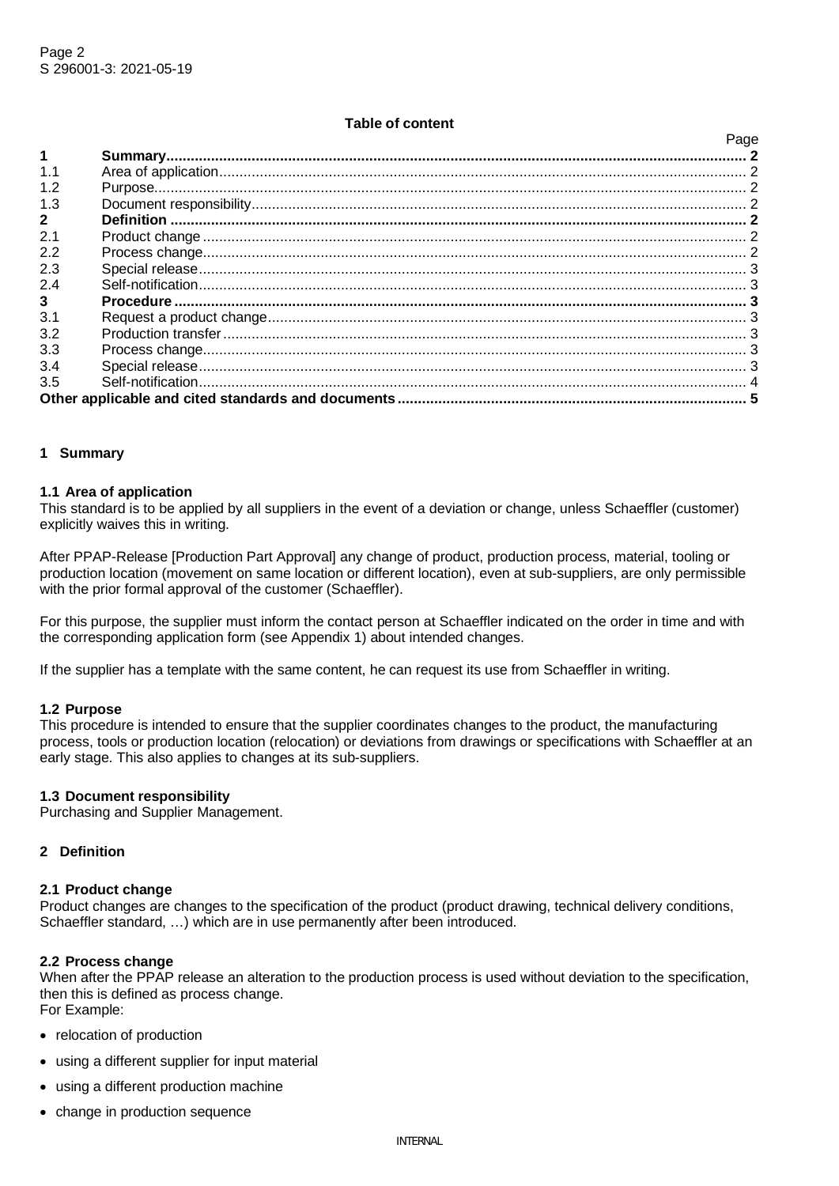## **Table of content**

Page

| 1            | raye |  |  |  |  |
|--------------|------|--|--|--|--|
| 1.1          |      |  |  |  |  |
| 1.2          |      |  |  |  |  |
| 1.3          |      |  |  |  |  |
| $\mathbf{2}$ |      |  |  |  |  |
| 2.1          |      |  |  |  |  |
| 2.2          |      |  |  |  |  |
| 2.3          |      |  |  |  |  |
| 2.4          |      |  |  |  |  |
| $\mathbf{3}$ |      |  |  |  |  |
| 3.1          |      |  |  |  |  |
| 3.2          |      |  |  |  |  |
| 3.3          |      |  |  |  |  |
| 3.4          |      |  |  |  |  |
| 3.5          |      |  |  |  |  |
|              |      |  |  |  |  |

## **1 Summary**

### **1.1 Area of application**

This standard is to be applied by all suppliers in the event of a deviation or change, unless Schaeffler (customer) explicitly waives this in writing.

After PPAP-Release [Production Part Approval] any change of product, production process, material, tooling or production location (movement on same location or different location), even at sub-suppliers, are only permissible with the prior formal approval of the customer (Schaeffler).

For this purpose, the supplier must inform the contact person at Schaeffler indicated on the order in time and with the corresponding application form (see Appendix 1) about intended changes.

If the supplier has a template with the same content, he can request its use from Schaeffler in writing.

### **1.2 Purpose**

This procedure is intended to ensure that the supplier coordinates changes to the product, the manufacturing process, tools or production location (relocation) or deviations from drawings or specifications with Schaeffler at an early stage. This also applies to changes at its sub-suppliers.

### **1.3 Document responsibility**

Purchasing and Supplier Management.

## **2 Definition**

#### **2.1 Product change**

Product changes are changes to the specification of the product (product drawing, technical delivery conditions, Schaeffler standard, …) which are in use permanently after been introduced.

#### **2.2 Process change**

When after the PPAP release an alteration to the production process is used without deviation to the specification, then this is defined as process change.

- For Example:
- relocation of production
- using a different supplier for input material
- using a different production machine
- change in production sequence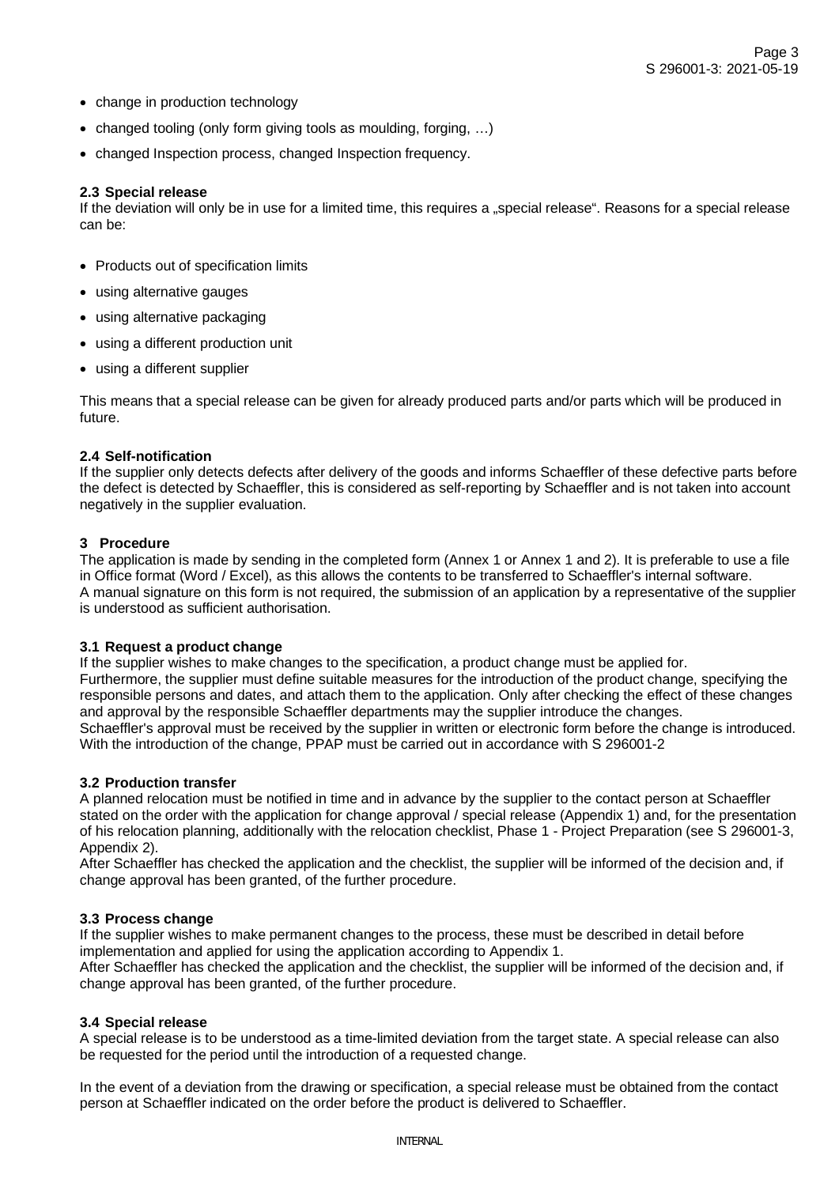- change in production technology
- changed tooling (only form giving tools as moulding, forging, …)
- changed Inspection process, changed Inspection frequency.

### **2.3 Special release**

If the deviation will only be in use for a limited time, this requires a "special release". Reasons for a special release can be:

- Products out of specification limits
- using alternative gauges
- using alternative packaging
- using a different production unit
- using a different supplier

This means that a special release can be given for already produced parts and/or parts which will be produced in future.

## **2.4 Self-notification**

If the supplier only detects defects after delivery of the goods and informs Schaeffler of these defective parts before the defect is detected by Schaeffler, this is considered as self-reporting by Schaeffler and is not taken into account negatively in the supplier evaluation.

## **3 Procedure**

The application is made by sending in the completed form (Annex 1 or Annex 1 and 2). It is preferable to use a file in Office format (Word / Excel), as this allows the contents to be transferred to Schaeffler's internal software. A manual signature on this form is not required, the submission of an application by a representative of the supplier is understood as sufficient authorisation.

### **3.1 Request a product change**

If the supplier wishes to make changes to the specification, a product change must be applied for. Furthermore, the supplier must define suitable measures for the introduction of the product change, specifying the responsible persons and dates, and attach them to the application. Only after checking the effect of these changes and approval by the responsible Schaeffler departments may the supplier introduce the changes. Schaeffler's approval must be received by the supplier in written or electronic form before the change is introduced. With the introduction of the change, PPAP must be carried out in accordance with S 296001-2

### **3.2 Production transfer**

A planned relocation must be notified in time and in advance by the supplier to the contact person at Schaeffler stated on the order with the application for change approval / special release (Appendix 1) and, for the presentation of his relocation planning, additionally with the relocation checklist, Phase 1 - Project Preparation (see S 296001-3, Appendix 2).

After Schaeffler has checked the application and the checklist, the supplier will be informed of the decision and, if change approval has been granted, of the further procedure.

## **3.3 Process change**

If the supplier wishes to make permanent changes to the process, these must be described in detail before implementation and applied for using the application according to Appendix 1.

After Schaeffler has checked the application and the checklist, the supplier will be informed of the decision and, if change approval has been granted, of the further procedure.

### **3.4 Special release**

A special release is to be understood as a time-limited deviation from the target state. A special release can also be requested for the period until the introduction of a requested change.

In the event of a deviation from the drawing or specification, a special release must be obtained from the contact person at Schaeffler indicated on the order before the product is delivered to Schaeffler.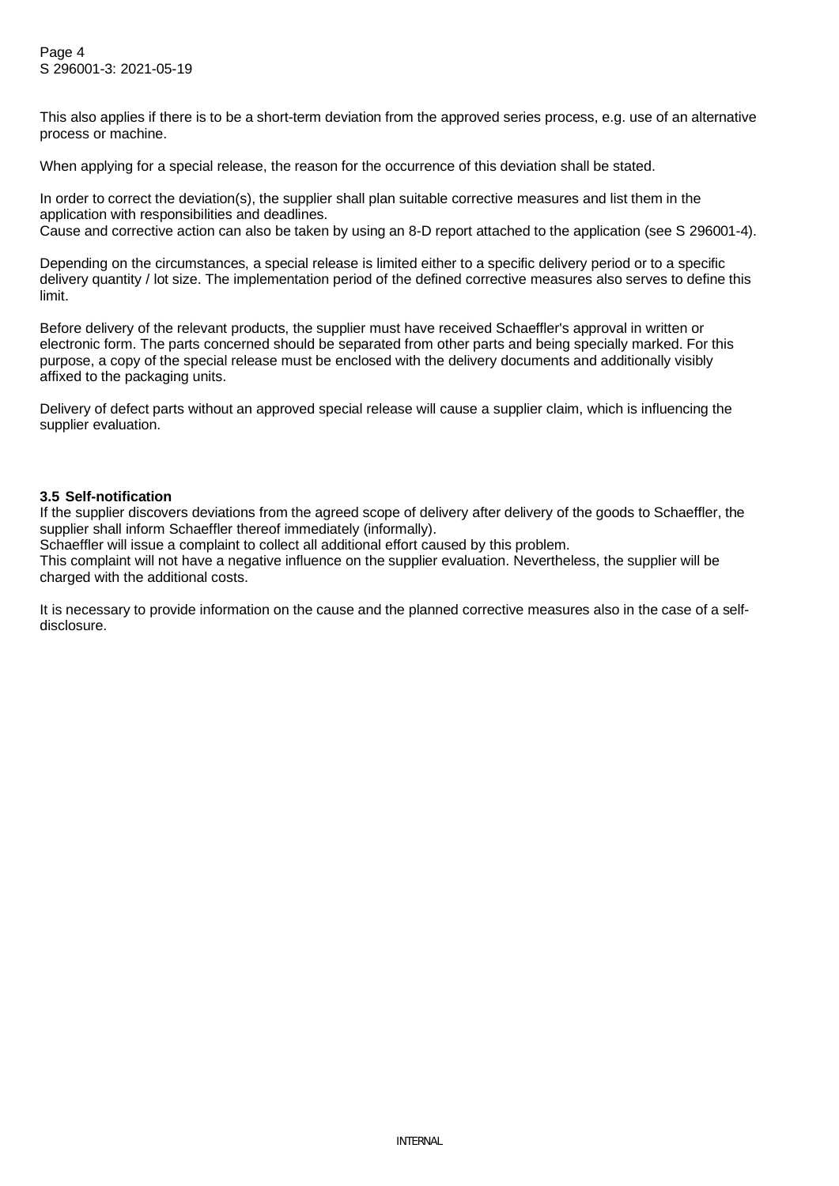This also applies if there is to be a short-term deviation from the approved series process, e.g. use of an alternative process or machine.

When applying for a special release, the reason for the occurrence of this deviation shall be stated.

In order to correct the deviation(s), the supplier shall plan suitable corrective measures and list them in the application with responsibilities and deadlines. Cause and corrective action can also be taken by using an 8-D report attached to the application (see S 296001-4).

Depending on the circumstances, a special release is limited either to a specific delivery period or to a specific delivery quantity / lot size. The implementation period of the defined corrective measures also serves to define this limit.

Before delivery of the relevant products, the supplier must have received Schaeffler's approval in written or electronic form. The parts concerned should be separated from other parts and being specially marked. For this purpose, a copy of the special release must be enclosed with the delivery documents and additionally visibly affixed to the packaging units.

Delivery of defect parts without an approved special release will cause a supplier claim, which is influencing the supplier evaluation.

## **3.5 Self-notification**

If the supplier discovers deviations from the agreed scope of delivery after delivery of the goods to Schaeffler, the supplier shall inform Schaeffler thereof immediately (informally).

Schaeffler will issue a complaint to collect all additional effort caused by this problem.

This complaint will not have a negative influence on the supplier evaluation. Nevertheless, the supplier will be charged with the additional costs.

It is necessary to provide information on the cause and the planned corrective measures also in the case of a selfdisclosure.